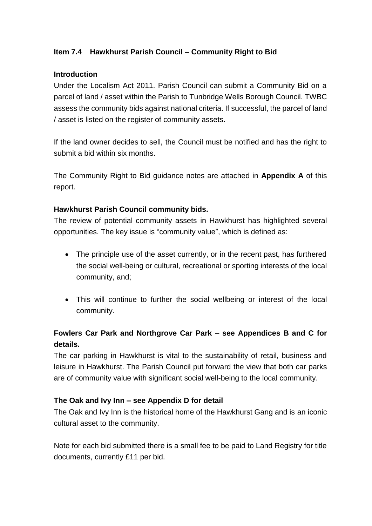### **Item 7.4 Hawkhurst Parish Council – Community Right to Bid**

#### **Introduction**

Under the Localism Act 2011. Parish Council can submit a Community Bid on a parcel of land / asset within the Parish to Tunbridge Wells Borough Council. TWBC assess the community bids against national criteria. If successful, the parcel of land / asset is listed on the register of community assets.

If the land owner decides to sell, the Council must be notified and has the right to submit a bid within six months.

The Community Right to Bid guidance notes are attached in **Appendix A** of this report.

#### **Hawkhurst Parish Council community bids.**

The review of potential community assets in Hawkhurst has highlighted several opportunities. The key issue is "community value", which is defined as:

- The principle use of the asset currently, or in the recent past, has furthered the social well-being or cultural, recreational or sporting interests of the local community, and;
- This will continue to further the social wellbeing or interest of the local community.

## **Fowlers Car Park and Northgrove Car Park – see Appendices B and C for details.**

The car parking in Hawkhurst is vital to the sustainability of retail, business and leisure in Hawkhurst. The Parish Council put forward the view that both car parks are of community value with significant social well-being to the local community.

### **The Oak and Ivy Inn – see Appendix D for detail**

The Oak and Ivy Inn is the historical home of the Hawkhurst Gang and is an iconic cultural asset to the community.

Note for each bid submitted there is a small fee to be paid to Land Registry for title documents, currently £11 per bid.